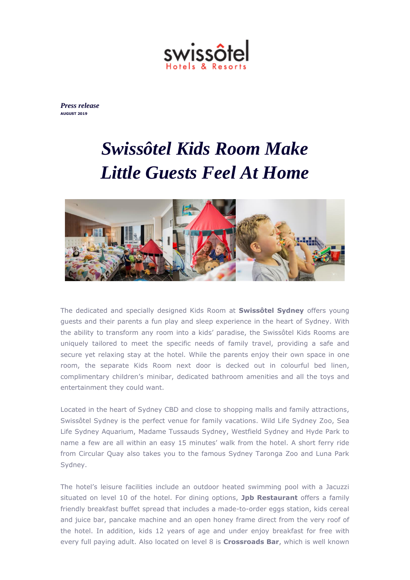

*Press release* **AUGUST 2019**

## *Swissôtel Kids Room Make Little Guests Feel At Home*



The dedicated and specially designed Kids Room at **Swissôtel Sydney** offers young guests and their parents a fun play and sleep experience in the heart of Sydney. With the ability to transform any room into a kids' paradise, the Swissôtel Kids Rooms are uniquely tailored to meet the specific needs of family travel, providing a safe and secure yet relaxing stay at the hotel. While the parents enjoy their own space in one room, the separate Kids Room next door is decked out in colourful bed linen, complimentary children's minibar, dedicated bathroom amenities and all the toys and entertainment they could want.

Located in the heart of Sydney CBD and close to shopping malls and family attractions, Swissôtel Sydney is the perfect venue for family vacations. Wild Life Sydney Zoo, Sea Life Sydney Aquarium, Madame Tussauds Sydney, Westfield Sydney and Hyde Park to name a few are all within an easy 15 minutes' walk from the hotel. A short ferry ride from Circular Quay also takes you to the famous Sydney Taronga Zoo and Luna Park Sydney.

The hotel's leisure facilities include an outdoor heated swimming pool with a Jacuzzi situated on level 10 of the hotel. For dining options, **Jpb Restaurant** offers a family friendly breakfast buffet spread that includes a made-to-order eggs station, kids cereal and juice bar, pancake machine and an open honey frame direct from the very roof of the hotel. In addition, kids 12 years of age and under enjoy breakfast for free with every full paying adult. Also located on level 8 is **Crossroads Bar**, which is well known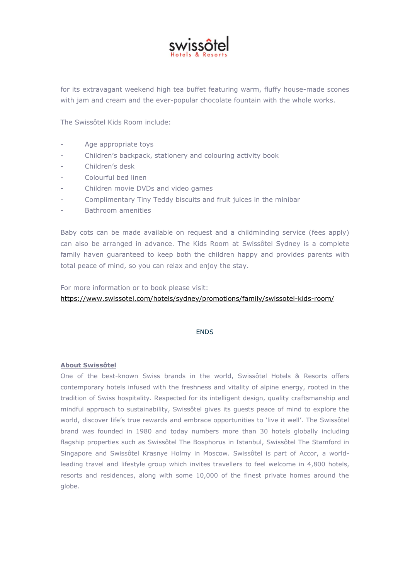

for its extravagant weekend high tea buffet featuring warm, fluffy house-made scones with jam and cream and the ever-popular chocolate fountain with the whole works.

The Swissôtel Kids Room include:

- Age appropriate toys
- Children's backpack, stationery and colouring activity book
- Children's desk
- Colourful bed linen
- Children movie DVDs and video games
- Complimentary Tiny Teddy biscuits and fruit juices in the minibar
- Bathroom amenities

Baby cots can be made available on request and a childminding service (fees apply) can also be arranged in advance. The Kids Room at Swissôtel Sydney is a complete family haven guaranteed to keep both the children happy and provides parents with total peace of mind, so you can relax and enjoy the stay.

For more information or to book please visit:

<https://www.swissotel.com/hotels/sydney/promotions/family/swissotel-kids-room/>

## ENDS

## **About Swissôtel**

One of the best-known Swiss brands in the world, Swissôtel Hotels & Resorts offers contemporary hotels infused with the freshness and vitality of alpine energy, rooted in the tradition of Swiss hospitality. Respected for its intelligent design, quality craftsmanship and mindful approach to sustainability, Swissôtel gives its guests peace of mind to explore the world, discover life's true rewards and embrace opportunities to 'live it well'. The Swissôtel brand was founded in 1980 and today numbers more than 30 hotels globally including flagship properties such as Swissôtel The Bosphorus in Istanbul, Swissôtel The Stamford in Singapore and Swissôtel Krasnye Holmy in Moscow. Swissôtel is part of Accor, a worldleading travel and lifestyle group which invites travellers to feel welcome in 4,800 hotels, resorts and residences, along with some 10,000 of the finest private homes around the globe.